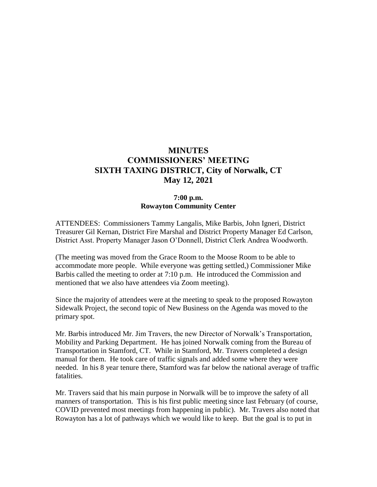# **MINUTES COMMISSIONERS' MEETING SIXTH TAXING DISTRICT, City of Norwalk, CT May 12, 2021**

## **7:00 p.m. Rowayton Community Center**

ATTENDEES: Commissioners Tammy Langalis, Mike Barbis, John Igneri, District Treasurer Gil Kernan, District Fire Marshal and District Property Manager Ed Carlson, District Asst. Property Manager Jason O'Donnell, District Clerk Andrea Woodworth.

(The meeting was moved from the Grace Room to the Moose Room to be able to accommodate more people. While everyone was getting settled,) Commissioner Mike Barbis called the meeting to order at 7:10 p.m. He introduced the Commission and mentioned that we also have attendees via Zoom meeting).

Since the majority of attendees were at the meeting to speak to the proposed Rowayton Sidewalk Project, the second topic of New Business on the Agenda was moved to the primary spot.

Mr. Barbis introduced Mr. Jim Travers, the new Director of Norwalk's Transportation, Mobility and Parking Department. He has joined Norwalk coming from the Bureau of Transportation in Stamford, CT. While in Stamford, Mr. Travers completed a design manual for them. He took care of traffic signals and added some where they were needed. In his 8 year tenure there, Stamford was far below the national average of traffic fatalities.

Mr. Travers said that his main purpose in Norwalk will be to improve the safety of all manners of transportation. This is his first public meeting since last February (of course, COVID prevented most meetings from happening in public). Mr. Travers also noted that Rowayton has a lot of pathways which we would like to keep. But the goal is to put in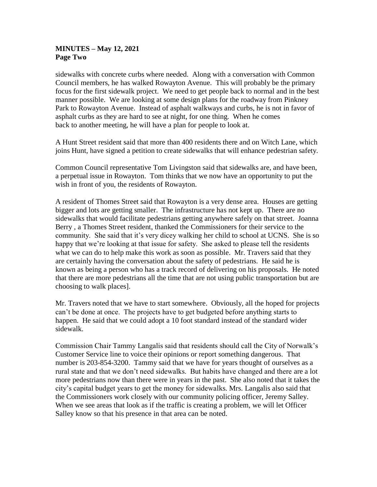### **MINUTES – May 12, 2021 Page Two**

sidewalks with concrete curbs where needed. Along with a conversation with Common Council members, he has walked Rowayton Avenue. This will probably be the primary focus for the first sidewalk project. We need to get people back to normal and in the best manner possible. We are looking at some design plans for the roadway from Pinkney Park to Rowayton Avenue. Instead of asphalt walkways and curbs, he is not in favor of asphalt curbs as they are hard to see at night, for one thing. When he comes back to another meeting, he will have a plan for people to look at.

A Hunt Street resident said that more than 400 residents there and on Witch Lane, which joins Hunt, have signed a petition to create sidewalks that will enhance pedestrian safety.

Common Council representative Tom Livingston said that sidewalks are, and have been, a perpetual issue in Rowayton. Tom thinks that we now have an opportunity to put the wish in front of you, the residents of Rowayton.

A resident of Thomes Street said that Rowayton is a very dense area. Houses are getting bigger and lots are getting smaller. The infrastructure has not kept up. There are no sidewalks that would facilitate pedestrians getting anywhere safely on that street. Joanna Berry , a Thomes Street resident, thanked the Commissioners for their service to the community. She said that it's very dicey walking her child to school at UCNS. She is so happy that we're looking at that issue for safety. She asked to please tell the residents what we can do to help make this work as soon as possible. Mr. Travers said that they are certainly having the conversation about the safety of pedestrians. He said he is known as being a person who has a track record of delivering on his proposals. He noted that there are more pedestrians all the time that are not using public transportation but are choosing to walk places].

Mr. Travers noted that we have to start somewhere. Obviously, all the hoped for projects can't be done at once. The projects have to get budgeted before anything starts to happen. He said that we could adopt a 10 foot standard instead of the standard wider sidewalk.

Commission Chair Tammy Langalis said that residents should call the City of Norwalk's Customer Service line to voice their opinions or report something dangerous. That number is 203-854-3200. Tammy said that we have for years thought of ourselves as a rural state and that we don't need sidewalks. But habits have changed and there are a lot more pedestrians now than there were in years in the past. She also noted that it takes the city's capital budget years to get the money for sidewalks. Mrs. Langalis also said that the Commissioners work closely with our community policing officer, Jeremy Salley. When we see areas that look as if the traffic is creating a problem, we will let Officer Salley know so that his presence in that area can be noted.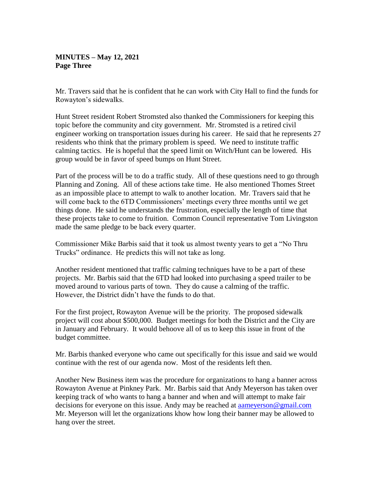# **MINUTES – May 12, 2021 Page Three**

Mr. Travers said that he is confident that he can work with City Hall to find the funds for Rowayton's sidewalks.

Hunt Street resident Robert Stromsted also thanked the Commissioners for keeping this topic before the community and city government. Mr. Stromsted is a retired civil engineer working on transportation issues during his career. He said that he represents 27 residents who think that the primary problem is speed. We need to institute traffic calming tactics. He is hopeful that the speed limit on Witch/Hunt can be lowered. His group would be in favor of speed bumps on Hunt Street.

Part of the process will be to do a traffic study. All of these questions need to go through Planning and Zoning. All of these actions take time. He also mentioned Thomes Street as an impossible place to attempt to walk to another location. Mr. Travers said that he will come back to the 6TD Commissioners' meetings every three months until we get things done. He said he understands the frustration, especially the length of time that these projects take to come to fruition. Common Council representative Tom Livingston made the same pledge to be back every quarter.

Commissioner Mike Barbis said that it took us almost twenty years to get a "No Thru Trucks" ordinance. He predicts this will not take as long.

Another resident mentioned that traffic calming techniques have to be a part of these projects. Mr. Barbis said that the 6TD had looked into purchasing a speed trailer to be moved around to various parts of town. They do cause a calming of the traffic. However, the District didn't have the funds to do that.

For the first project, Rowayton Avenue will be the priority. The proposed sidewalk project will cost about \$500,000. Budget meetings for both the District and the City are in January and February. It would behoove all of us to keep this issue in front of the budget committee.

Mr. Barbis thanked everyone who came out specifically for this issue and said we would continue with the rest of our agenda now. Most of the residents left then.

Another New Business item was the procedure for organizations to hang a banner across Rowayton Avenue at Pinkney Park. Mr. Barbis said that Andy Meyerson has taken over keeping track of who wants to hang a banner and when and will attempt to make fair decisions for everyone on this issue. Andy may be reached at [aameyerson@gmail.com](mailto:aameyerson@gmail.com)  Mr. Meyerson will let the organizations khow how long their banner may be allowed to hang over the street.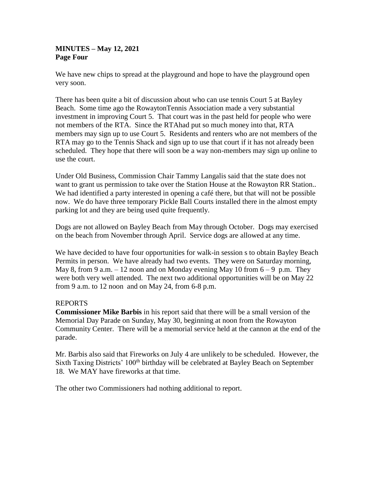## **MINUTES – May 12, 2021 Page Four**

We have new chips to spread at the playground and hope to have the playground open very soon.

There has been quite a bit of discussion about who can use tennis Court 5 at Bayley Beach. Some time ago the RowaytonTennis Association made a very substantial investment in improving Court 5. That court was in the past held for people who were not members of the RTA. Since the RTAhad put so much money into that, RTA members may sign up to use Court 5. Residents and renters who are not members of the RTA may go to the Tennis Shack and sign up to use that court if it has not already been scheduled. They hope that there will soon be a way non-members may sign up online to use the court.

Under Old Business, Commission Chair Tammy Langalis said that the state does not want to grant us permission to take over the Station House at the Rowayton RR Station.. We had identified a party interested in opening a café there, but that will not be possible now. We do have three temporary Pickle Ball Courts installed there in the almost empty parking lot and they are being used quite frequently.

Dogs are not allowed on Bayley Beach from May through October. Dogs may exercised on the beach from November through April. Service dogs are allowed at any time.

We have decided to have four opportunities for walk-in session s to obtain Bayley Beach Permits in person. We have already had two events. They were on Saturday morning, May 8, from 9 a.m.  $-12$  noon and on Monday evening May 10 from  $6 - 9$  p.m. They were both very well attended. The next two additional opportunities will be on May 22 from 9 a.m. to 12 noon and on May 24, from 6-8 p.m.

# REPORTS

**Commissioner Mike Barbis** in his report said that there will be a small version of the Memorial Day Parade on Sunday, May 30, beginning at noon from the Rowayton Community Center. There will be a memorial service held at the cannon at the end of the parade.

Mr. Barbis also said that Fireworks on July 4 are unlikely to be scheduled. However, the Sixth Taxing Districts' 100<sup>th</sup> birthday will be celebrated at Bayley Beach on September 18. We MAY have fireworks at that time.

The other two Commissioners had nothing additional to report.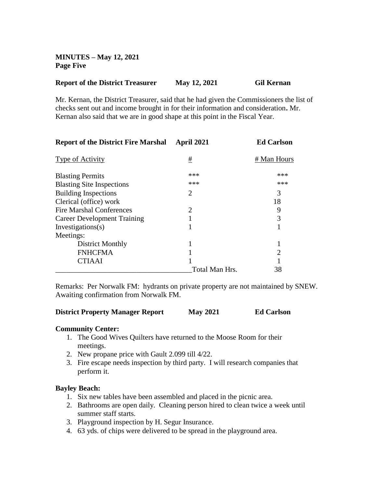**MINUTES – May 12, 2021 Page Five**

### **Report of the District Treasurer May 12, 2021 Gil Kernan**

Mr. Kernan, the District Treasurer, said that he had given the Commissioners the list of checks sent out and income brought in for their information and consideration**.** Mr. Kernan also said that we are in good shape at this point in the Fiscal Year.

| <b>Report of the District Fire Marshal</b> | April 2021     | <b>Ed Carlson</b> |
|--------------------------------------------|----------------|-------------------|
| Type of Activity                           | #              | # Man Hours       |
| <b>Blasting Permits</b>                    | ***            | ***               |
| <b>Blasting Site Inspections</b>           | ***            | ***               |
| <b>Building Inspections</b>                | 2              | 3                 |
| Clerical (office) work                     |                | 18                |
| <b>Fire Marshal Conferences</b>            | 2              | 9                 |
| <b>Career Development Training</b>         |                | 3                 |
| Investigations(s)                          |                |                   |
| Meetings:                                  |                |                   |
| District Monthly                           |                |                   |
| <b>FNHCFMA</b>                             |                | 2                 |
| <b>CTIAAI</b>                              |                |                   |
|                                            | Total Man Hrs. | 38                |

Remarks: Per Norwalk FM: hydrants on private property are not maintained by SNEW. Awaiting confirmation from Norwalk FM.

#### **District Property Manager Report May 2021 Ed Carlson**

#### **Community Center:**

- 1. The Good Wives Quilters have returned to the Moose Room for their meetings.
- 2. New propane price with Gault 2.099 till 4/22.
- 3. Fire escape needs inspection by third party. I will research companies that perform it.

#### **Bayley Beach:**

- 1. Six new tables have been assembled and placed in the picnic area.
- 2. Bathrooms are open daily. Cleaning person hired to clean twice a week until summer staff starts.
- 3. Playground inspection by H. Segur Insurance.
- 4. 63 yds. of chips were delivered to be spread in the playground area.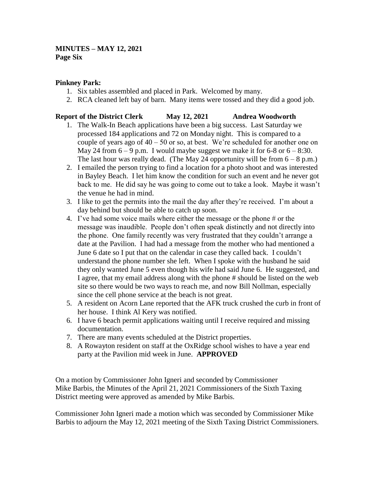# **MINUTES – MAY 12, 2021 Page Six**

### **Pinkney Park:**

- 1. Six tables assembled and placed in Park. Welcomed by many.
- 2. RCA cleaned left bay of barn. Many items were tossed and they did a good job.

# **Report of the District Clerk May 12, 2021 Andrea Woodworth**

- 1. The Walk-In Beach applications have been a big success. Last Saturday we processed 184 applications and 72 on Monday night. This is compared to a couple of years ago of  $40 - 50$  or so, at best. We're scheduled for another one on May 24 from  $6 - 9$  p.m. I would maybe suggest we make it for  $6 - 8$  or  $6 - 8:30$ . The last hour was really dead. (The May 24 opportunity will be from  $6 - 8$  p.m.)
- 2. I emailed the person trying to find a location for a photo shoot and was interested in Bayley Beach. I let him know the condition for such an event and he never got back to me. He did say he was going to come out to take a look. Maybe it wasn't the venue he had in mind.
- 3. I like to get the permits into the mail the day after they're received. I'm about a day behind but should be able to catch up soon.
- 4. I've had some voice mails where either the message or the phone # or the message was inaudible. People don't often speak distinctly and not directly into the phone. One family recently was very frustrated that they couldn't arrange a date at the Pavilion. I had had a message from the mother who had mentioned a June 6 date so I put that on the calendar in case they called back. I couldn't understand the phone number she left. When I spoke with the husband he said they only wanted June 5 even though his wife had said June 6. He suggested, and I agree, that my email address along with the phone # should be listed on the web site so there would be two ways to reach me, and now Bill Nollman, especially since the cell phone service at the beach is not great.
- 5. A resident on Acorn Lane reported that the AFK truck crushed the curb in front of her house. I think Al Kery was notified.
- 6. I have 6 beach permit applications waiting until I receive required and missing documentation.
- 7. There are many events scheduled at the District properties.
- 8. A Rowayton resident on staff at the OxRidge school wishes to have a year end party at the Pavilion mid week in June. **APPROVED**

On a motion by Commissioner John Igneri and seconded by Commissioner Mike Barbis, the Minutes of the April 21, 2021 Commissioners of the Sixth Taxing District meeting were approved as amended by Mike Barbis.

Commissioner John Igneri made a motion which was seconded by Commissioner Mike Barbis to adjourn the May 12, 2021 meeting of the Sixth Taxing District Commissioners.